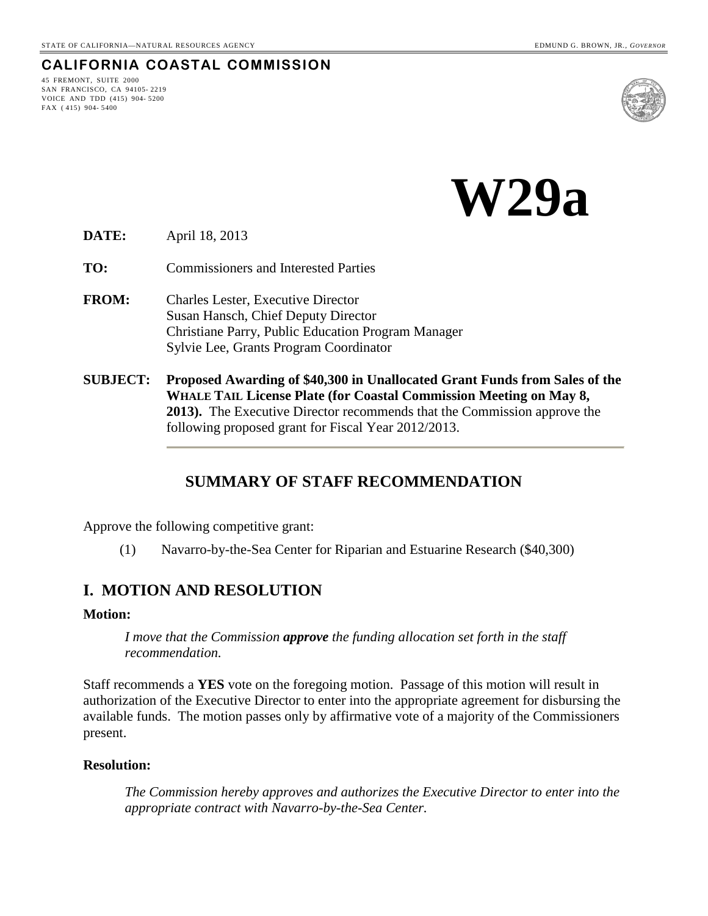## **CALIFORNIA COASTAL COMMISSION**

45 FREMONT, SUITE 2000 SAN FRANCISCO, CA 94105- 2219 VOICE AND TDD (415) 904- 5200 FAX ( 415) 904- 5400



**W29a**

**DATE:** April 18, 2013

**TO:** Commissioners and Interested Parties

- **FROM:** Charles Lester, Executive Director Susan Hansch, Chief Deputy Director Christiane Parry, Public Education Program Manager Sylvie Lee, Grants Program Coordinator
- **SUBJECT: Proposed Awarding of \$40,300 in Unallocated Grant Funds from Sales of the WHALE TAIL License Plate (for Coastal Commission Meeting on May 8, 2013).** The Executive Director recommends that the Commission approve the following proposed grant for Fiscal Year 2012/2013.

## **SUMMARY OF STAFF RECOMMENDATION**

Approve the following competitive grant:

(1) Navarro-by-the-Sea Center for Riparian and Estuarine Research (\$40,300)

### **I. MOTION AND RESOLUTION**

#### **Motion:**

*I move that the Commission approve the funding allocation set forth in the staff recommendation.*

Staff recommends a **YES** vote on the foregoing motion. Passage of this motion will result in authorization of the Executive Director to enter into the appropriate agreement for disbursing the available funds. The motion passes only by affirmative vote of a majority of the Commissioners present.

#### **Resolution:**

*The Commission hereby approves and authorizes the Executive Director to enter into the appropriate contract with Navarro-by-the-Sea Center.*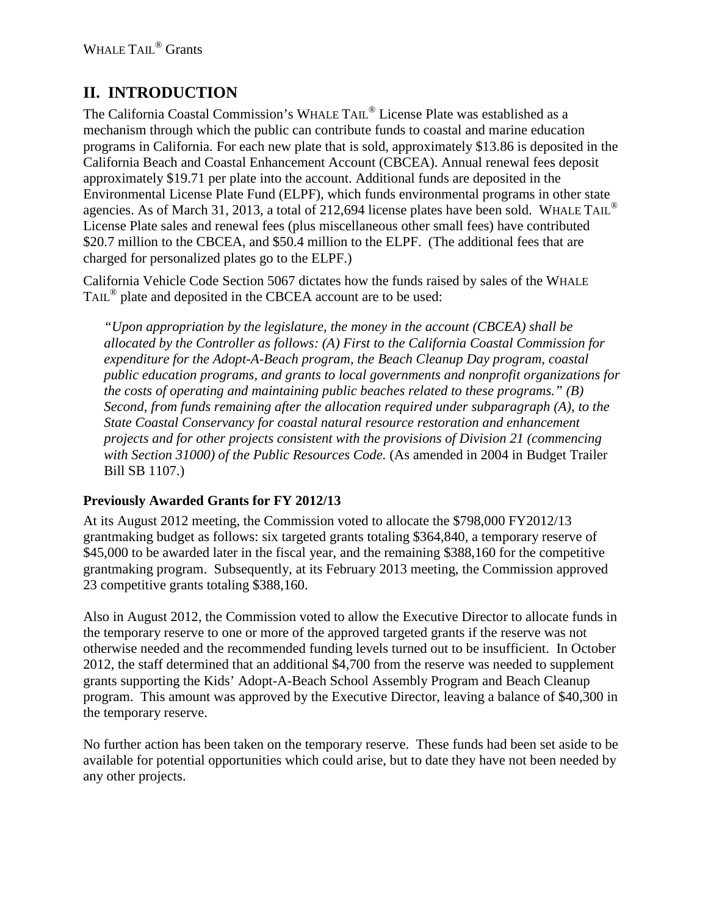# **II. INTRODUCTION**

The California Coastal Commission's WHALE TAIL® License Plate was established as a mechanism through which the public can contribute funds to coastal and marine education programs in California. For each new plate that is sold, approximately \$13.86 is deposited in the California Beach and Coastal Enhancement Account (CBCEA). Annual renewal fees deposit approximately \$19.71 per plate into the account. Additional funds are deposited in the Environmental License Plate Fund (ELPF), which funds environmental programs in other state agencies. As of March 31, 2013, a total of 212,694 license plates have been sold. WHALE TAIL<sup>®</sup> License Plate sales and renewal fees (plus miscellaneous other small fees) have contributed \$20.7 million to the CBCEA, and \$50.4 million to the ELPF. (The additional fees that are charged for personalized plates go to the ELPF.)

California Vehicle Code Section 5067 dictates how the funds raised by sales of the WHALE TAIL<sup>®</sup> plate and deposited in the CBCEA account are to be used:

*"Upon appropriation by the legislature, the money in the account (CBCEA) shall be allocated by the Controller as follows: (A) First to the California Coastal Commission for expenditure for the Adopt-A-Beach program, the Beach Cleanup Day program, coastal public education programs, and grants to local governments and nonprofit organizations for the costs of operating and maintaining public beaches related to these programs." (B) Second, from funds remaining after the allocation required under subparagraph (A), to the State Coastal Conservancy for coastal natural resource restoration and enhancement projects and for other projects consistent with the provisions of Division 21 (commencing with Section 31000) of the Public Resources Code.* (As amended in 2004 in Budget Trailer Bill SB 1107.)

### **Previously Awarded Grants for FY 2012/13**

At its August 2012 meeting, the Commission voted to allocate the \$798,000 FY2012/13 grantmaking budget as follows: six targeted grants totaling \$364,840, a temporary reserve of \$45,000 to be awarded later in the fiscal year, and the remaining \$388,160 for the competitive grantmaking program. Subsequently, at its February 2013 meeting, the Commission approved 23 competitive grants totaling \$388,160.

Also in August 2012, the Commission voted to allow the Executive Director to allocate funds in the temporary reserve to one or more of the approved targeted grants if the reserve was not otherwise needed and the recommended funding levels turned out to be insufficient. In October 2012, the staff determined that an additional \$4,700 from the reserve was needed to supplement grants supporting the Kids' Adopt-A-Beach School Assembly Program and Beach Cleanup program. This amount was approved by the Executive Director, leaving a balance of \$40,300 in the temporary reserve.

No further action has been taken on the temporary reserve. These funds had been set aside to be available for potential opportunities which could arise, but to date they have not been needed by any other projects.